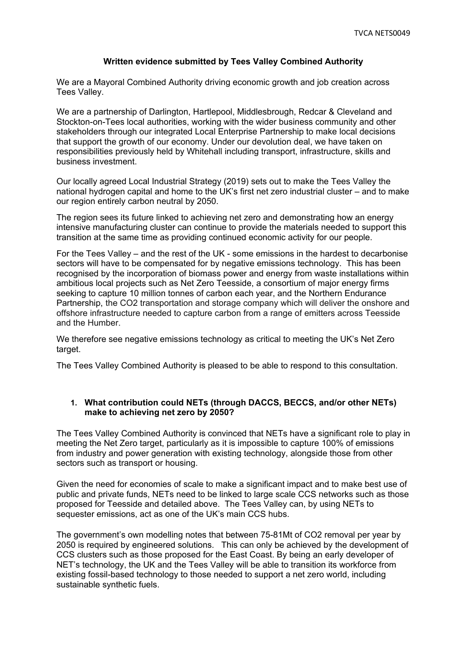#### **Written evidence submitted by Tees Valley Combined Authority**

We are a Mayoral Combined Authority driving economic growth and job creation across Tees Valley.

We are a partnership of Darlington, Hartlepool, Middlesbrough, Redcar & Cleveland and Stockton-on-Tees local authorities, working with the wider business community and other stakeholders through our integrated Local Enterprise Partnership to make local decisions that support the growth of our economy. Under our devolution deal, we have taken on responsibilities previously held by Whitehall including transport, infrastructure, skills and business investment.

Our locally agreed Local Industrial Strategy (2019) sets out to make the Tees Valley the national hydrogen capital and home to the UK's first net zero industrial cluster – and to make our region entirely carbon neutral by 2050.

The region sees its future linked to achieving net zero and demonstrating how an energy intensive manufacturing cluster can continue to provide the materials needed to support this transition at the same time as providing continued economic activity for our people.

For the Tees Valley – and the rest of the UK - some emissions in the hardest to decarbonise sectors will have to be compensated for by negative emissions technology. This has been recognised by the incorporation of biomass power and energy from waste installations within ambitious local projects such as Net Zero Teesside, a consortium of major energy firms seeking to capture 10 million tonnes of carbon each year, and the Northern Endurance Partnership, the CO2 transportation and storage company which will deliver the onshore and offshore infrastructure needed to capture carbon from a range of emitters across Teesside and the Humber.

We therefore see negative emissions technology as critical to meeting the UK's Net Zero target.

The Tees Valley Combined Authority is pleased to be able to respond to this consultation.

#### **1. What contribution could NETs (through DACCS, BECCS, and/or other NETs) make to achieving net zero by 2050?**

The Tees Valley Combined Authority is convinced that NETs have a significant role to play in meeting the Net Zero target, particularly as it is impossible to capture 100% of emissions from industry and power generation with existing technology, alongside those from other sectors such as transport or housing.

Given the need for economies of scale to make a significant impact and to make best use of public and private funds, NETs need to be linked to large scale CCS networks such as those proposed for Teesside and detailed above. The Tees Valley can, by using NETs to sequester emissions, act as one of the UK's main CCS hubs.

The government's own modelling notes that between 75-81Mt of CO2 removal per year by 2050 is required by engineered solutions. This can only be achieved by the development of CCS clusters such as those proposed for the East Coast. By being an early developer of NET's technology, the UK and the Tees Valley will be able to transition its workforce from existing fossil-based technology to those needed to support a net zero world, including sustainable synthetic fuels.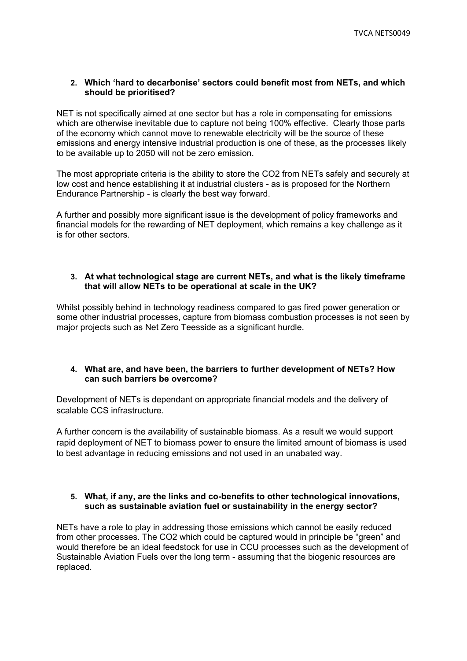## **2. Which 'hard to decarbonise' sectors could benefit most from NETs, and which should be prioritised?**

NET is not specifically aimed at one sector but has a role in compensating for emissions which are otherwise inevitable due to capture not being 100% effective. Clearly those parts of the economy which cannot move to renewable electricity will be the source of these emissions and energy intensive industrial production is one of these, as the processes likely to be available up to 2050 will not be zero emission.

The most appropriate criteria is the ability to store the CO2 from NETs safely and securely at low cost and hence establishing it at industrial clusters - as is proposed for the Northern Endurance Partnership - is clearly the best way forward.

A further and possibly more significant issue is the development of policy frameworks and financial models for the rewarding of NET deployment, which remains a key challenge as it is for other sectors.

#### **3. At what technological stage are current NETs, and what is the likely timeframe that will allow NETs to be operational at scale in the UK?**

Whilst possibly behind in technology readiness compared to gas fired power generation or some other industrial processes, capture from biomass combustion processes is not seen by major projects such as Net Zero Teesside as a significant hurdle.

## **4. What are, and have been, the barriers to further development of NETs? How can such barriers be overcome?**

Development of NETs is dependant on appropriate financial models and the delivery of scalable CCS infrastructure.

A further concern is the availability of sustainable biomass. As a result we would support rapid deployment of NET to biomass power to ensure the limited amount of biomass is used to best advantage in reducing emissions and not used in an unabated way.

#### **5. What, if any, are the links and co-benefits to other technological innovations, such as sustainable aviation fuel or sustainability in the energy sector?**

NETs have a role to play in addressing those emissions which cannot be easily reduced from other processes. The CO2 which could be captured would in principle be "green" and would therefore be an ideal feedstock for use in CCU processes such as the development of Sustainable Aviation Fuels over the long term - assuming that the biogenic resources are replaced.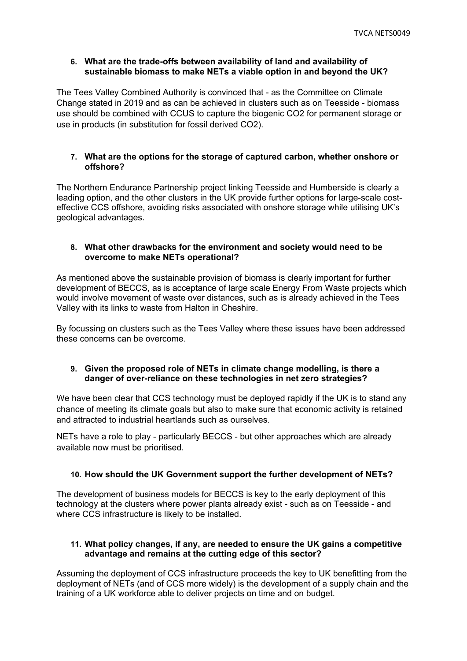## **6. What are the trade-offs between availability of land and availability of sustainable biomass to make NETs a viable option in and beyond the UK?**

The Tees Valley Combined Authority is convinced that - as the Committee on Climate Change stated in 2019 and as can be achieved in clusters such as on Teesside - biomass use should be combined with CCUS to capture the biogenic CO2 for permanent storage or use in products (in substitution for fossil derived CO2).

## **7. What are the options for the storage of captured carbon, whether onshore or offshore?**

The Northern Endurance Partnership project linking Teesside and Humberside is clearly a leading option, and the other clusters in the UK provide further options for large-scale costeffective CCS offshore, avoiding risks associated with onshore storage while utilising UK's geological advantages.

## **8. What other drawbacks for the environment and society would need to be overcome to make NETs operational?**

As mentioned above the sustainable provision of biomass is clearly important for further development of BECCS, as is acceptance of large scale Energy From Waste projects which would involve movement of waste over distances, such as is already achieved in the Tees Valley with its links to waste from Halton in Cheshire.

By focussing on clusters such as the Tees Valley where these issues have been addressed these concerns can be overcome.

## **9. Given the proposed role of NETs in climate change modelling, is there a danger of over-reliance on these technologies in net zero strategies?**

We have been clear that CCS technology must be deployed rapidly if the UK is to stand any chance of meeting its climate goals but also to make sure that economic activity is retained and attracted to industrial heartlands such as ourselves.

NETs have a role to play - particularly BECCS - but other approaches which are already available now must be prioritised.

# **10. How should the UK Government support the further development of NETs?**

The development of business models for BECCS is key to the early deployment of this technology at the clusters where power plants already exist - such as on Teesside - and where CCS infrastructure is likely to be installed.

## **11. What policy changes, if any, are needed to ensure the UK gains a competitive advantage and remains at the cutting edge of this sector?**

Assuming the deployment of CCS infrastructure proceeds the key to UK benefitting from the deployment of NETs (and of CCS more widely) is the development of a supply chain and the training of a UK workforce able to deliver projects on time and on budget.